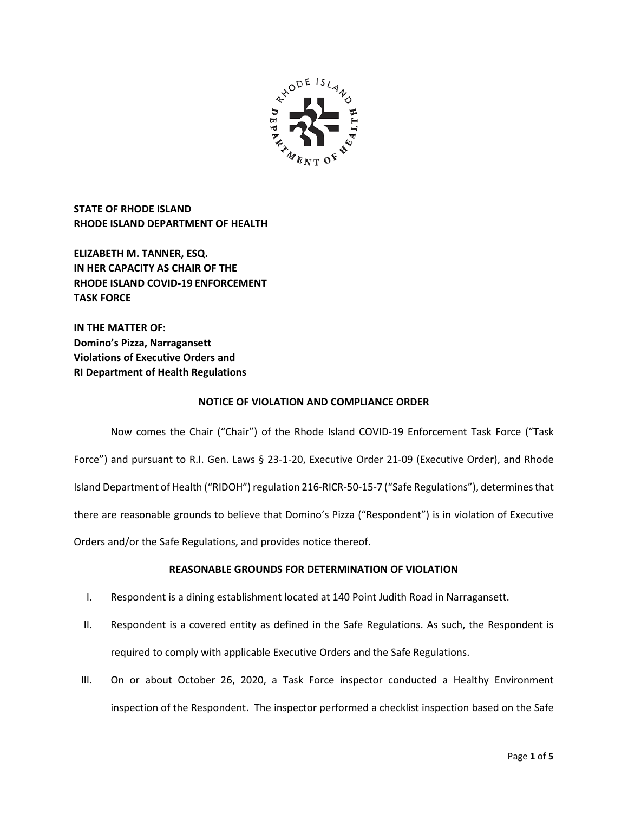

**STATE OF RHODE ISLAND RHODE ISLAND DEPARTMENT OF HEALTH**

**ELIZABETH M. TANNER, ESQ. IN HER CAPACITY AS CHAIR OF THE RHODE ISLAND COVID-19 ENFORCEMENT TASK FORCE** 

**IN THE MATTER OF: Domino's Pizza, Narragansett Violations of Executive Orders and RI Department of Health Regulations**

## **NOTICE OF VIOLATION AND COMPLIANCE ORDER**

Now comes the Chair ("Chair") of the Rhode Island COVID-19 Enforcement Task Force ("Task Force") and pursuant to R.I. Gen. Laws § 23-1-20, Executive Order 21-09 (Executive Order), and Rhode Island Department of Health ("RIDOH") regulation 216-RICR-50-15-7 ("Safe Regulations"), determines that there are reasonable grounds to believe that Domino's Pizza ("Respondent") is in violation of Executive Orders and/or the Safe Regulations, and provides notice thereof.

# **REASONABLE GROUNDS FOR DETERMINATION OF VIOLATION**

- I. Respondent is a dining establishment located at 140 Point Judith Road in Narragansett.
- II. Respondent is a covered entity as defined in the Safe Regulations. As such, the Respondent is required to comply with applicable Executive Orders and the Safe Regulations.
- III. On or about October 26, 2020, a Task Force inspector conducted a Healthy Environment inspection of the Respondent. The inspector performed a checklist inspection based on the Safe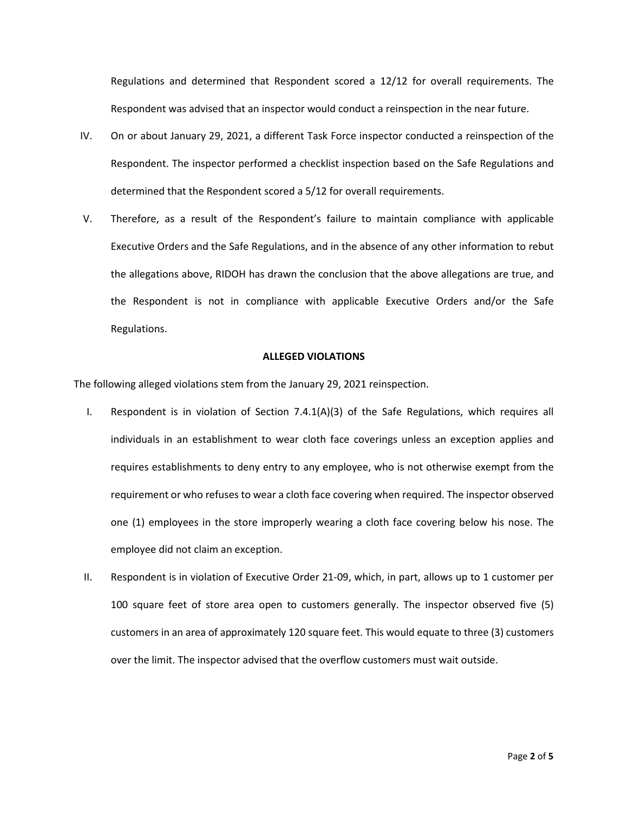Regulations and determined that Respondent scored a 12/12 for overall requirements. The Respondent was advised that an inspector would conduct a reinspection in the near future.

- IV. On or about January 29, 2021, a different Task Force inspector conducted a reinspection of the Respondent. The inspector performed a checklist inspection based on the Safe Regulations and determined that the Respondent scored a 5/12 for overall requirements.
- V. Therefore, as a result of the Respondent's failure to maintain compliance with applicable Executive Orders and the Safe Regulations, and in the absence of any other information to rebut the allegations above, RIDOH has drawn the conclusion that the above allegations are true, and the Respondent is not in compliance with applicable Executive Orders and/or the Safe Regulations.

### **ALLEGED VIOLATIONS**

The following alleged violations stem from the January 29, 2021 reinspection.

- I. Respondent is in violation of Section 7.4.1(A)(3) of the Safe Regulations, which requires all individuals in an establishment to wear cloth face coverings unless an exception applies and requires establishments to deny entry to any employee, who is not otherwise exempt from the requirement or who refuses to wear a cloth face covering when required. The inspector observed one (1) employees in the store improperly wearing a cloth face covering below his nose. The employee did not claim an exception.
- II. Respondent is in violation of Executive Order 21-09, which, in part, allows up to 1 customer per 100 square feet of store area open to customers generally. The inspector observed five (5) customers in an area of approximately 120 square feet. This would equate to three (3) customers over the limit. The inspector advised that the overflow customers must wait outside.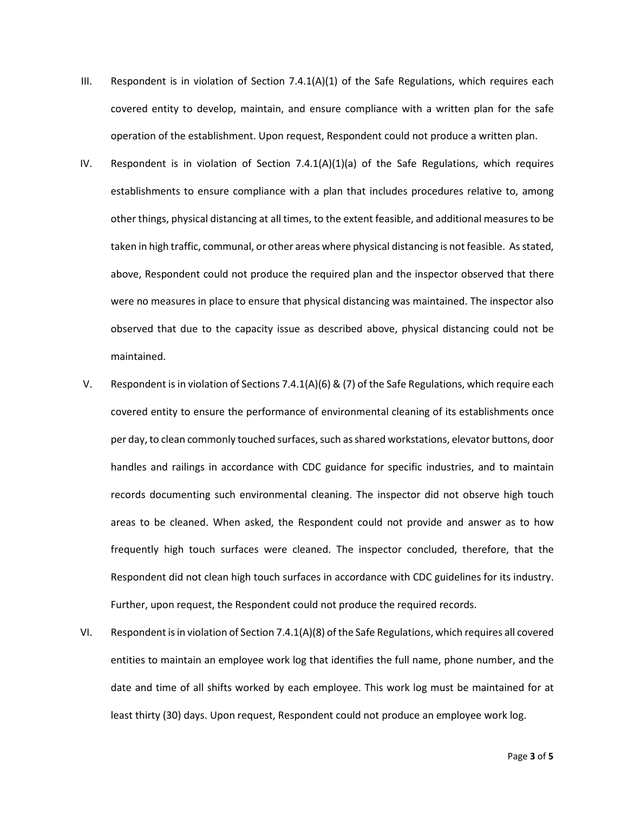- III. Respondent is in violation of Section  $7.4.1(A)(1)$  of the Safe Regulations, which requires each covered entity to develop, maintain, and ensure compliance with a written plan for the safe operation of the establishment. Upon request, Respondent could not produce a written plan.
- IV. Respondent is in violation of Section 7.4.1(A)(1)(a) of the Safe Regulations, which requires establishments to ensure compliance with a plan that includes procedures relative to, among other things, physical distancing at all times, to the extent feasible, and additional measures to be taken in high traffic, communal, or other areas where physical distancing is not feasible. As stated, above, Respondent could not produce the required plan and the inspector observed that there were no measures in place to ensure that physical distancing was maintained. The inspector also observed that due to the capacity issue as described above, physical distancing could not be maintained.
- V. Respondent is in violation of Sections 7.4.1(A)(6) & (7) of the Safe Regulations, which require each covered entity to ensure the performance of environmental cleaning of its establishments once per day, to clean commonly touched surfaces, such as shared workstations, elevator buttons, door handles and railings in accordance with CDC guidance for specific industries, and to maintain records documenting such environmental cleaning. The inspector did not observe high touch areas to be cleaned. When asked, the Respondent could not provide and answer as to how frequently high touch surfaces were cleaned. The inspector concluded, therefore, that the Respondent did not clean high touch surfaces in accordance with CDC guidelines for its industry. Further, upon request, the Respondent could not produce the required records.
- VI. Respondent is in violation of Section 7.4.1(A)(8) of the Safe Regulations, which requires all covered entities to maintain an employee work log that identifies the full name, phone number, and the date and time of all shifts worked by each employee. This work log must be maintained for at least thirty (30) days. Upon request, Respondent could not produce an employee work log.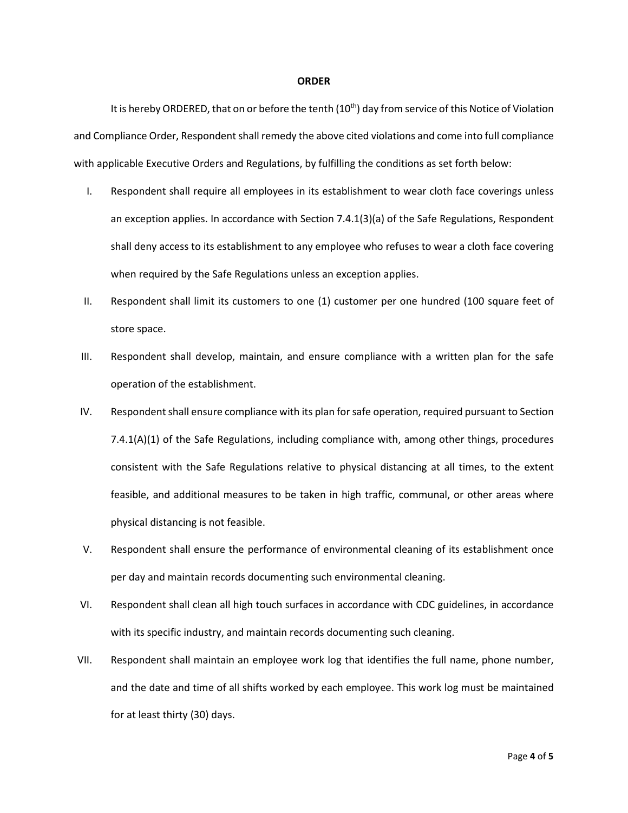#### **ORDER**

It is hereby ORDERED, that on or before the tenth (10<sup>th</sup>) day from service of this Notice of Violation and Compliance Order, Respondent shall remedy the above cited violations and come into full compliance with applicable Executive Orders and Regulations, by fulfilling the conditions as set forth below:

- I. Respondent shall require all employees in its establishment to wear cloth face coverings unless an exception applies. In accordance with Section 7.4.1(3)(a) of the Safe Regulations, Respondent shall deny access to its establishment to any employee who refuses to wear a cloth face covering when required by the Safe Regulations unless an exception applies.
- II. Respondent shall limit its customers to one (1) customer per one hundred (100 square feet of store space.
- III. Respondent shall develop, maintain, and ensure compliance with a written plan for the safe operation of the establishment.
- IV. Respondent shall ensure compliance with its plan for safe operation, required pursuant to Section 7.4.1(A)(1) of the Safe Regulations, including compliance with, among other things, procedures consistent with the Safe Regulations relative to physical distancing at all times, to the extent feasible, and additional measures to be taken in high traffic, communal, or other areas where physical distancing is not feasible.
- V. Respondent shall ensure the performance of environmental cleaning of its establishment once per day and maintain records documenting such environmental cleaning.
- VI. Respondent shall clean all high touch surfaces in accordance with CDC guidelines, in accordance with its specific industry, and maintain records documenting such cleaning.
- VII. Respondent shall maintain an employee work log that identifies the full name, phone number, and the date and time of all shifts worked by each employee. This work log must be maintained for at least thirty (30) days.